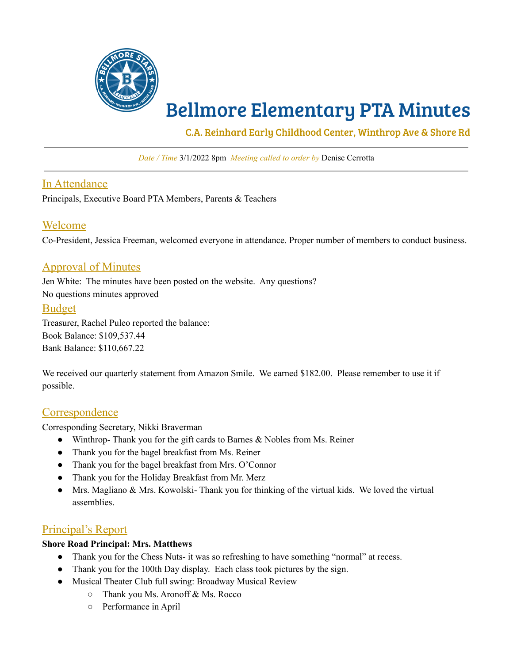

# Bellmore Elementary PTA Minutes

C.A. Reinhard Early Childhood Center, Winthrop Ave & Shore Rd

*Date / Time* 3/1/2022 8pm *Meeting called to order by* Denise Cerrotta

# In Attendance

Principals, Executive Board PTA Members, Parents & Teachers

# Welcome

Co-President, Jessica Freeman, welcomed everyone in attendance. Proper number of members to conduct business.

# Approval of Minutes

Jen White: The minutes have been posted on the website. Any questions? No questions minutes approved

#### Budget

Treasurer, Rachel Puleo reported the balance: Book Balance: \$109,537.44 Bank Balance: \$110,667.22

We received our quarterly statement from Amazon Smile. We earned \$182.00. Please remember to use it if possible.

# **Correspondence**

Corresponding Secretary, Nikki Braverman

- Winthrop- Thank you for the gift cards to Barnes & Nobles from Ms. Reiner
- Thank you for the bagel breakfast from Ms. Reiner
- Thank you for the bagel breakfast from Mrs. O'Connor
- Thank you for the Holiday Breakfast from Mr. Merz
- Mrs. Magliano & Mrs. Kowolski- Thank you for thinking of the virtual kids. We loved the virtual assemblies.

# Principal's Report

#### **Shore Road Principal: Mrs. Matthews**

- Thank you for the Chess Nuts- it was so refreshing to have something "normal" at recess.
- Thank you for the 100th Day display. Each class took pictures by the sign.
- Musical Theater Club full swing: Broadway Musical Review
	- Thank you Ms. Aronoff & Ms. Rocco
	- Performance in April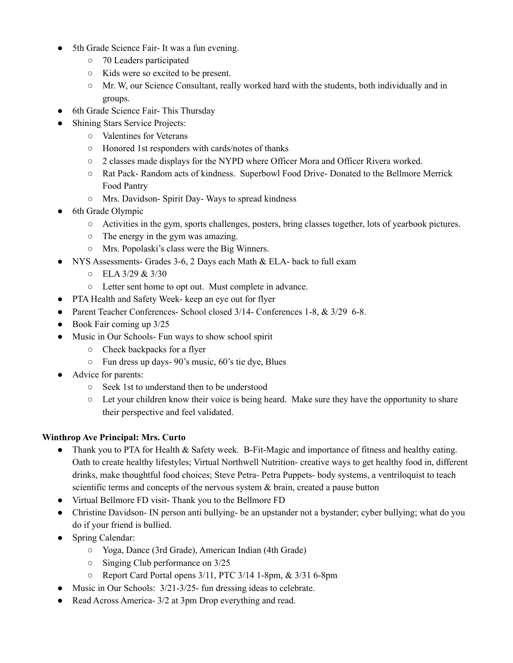- 5th Grade Science Fair- It was a fun evening.
	- 70 Leaders participated
	- Kids were so excited to be present.
	- Mr. W, our Science Consultant, really worked hard with the students, both individually and in groups.
- 6th Grade Science Fair- This Thursday
- Shining Stars Service Projects:
	- Valentines for Veterans
	- Honored 1st responders with cards/notes of thanks
	- 2 classes made displays for the NYPD where Officer Mora and Officer Rivera worked.
	- Rat Pack- Random acts of kindness. Superbowl Food Drive- Donated to the Bellmore Merrick Food Pantry
	- Mrs. Davidson- Spirit Day- Ways to spread kindness
- 6th Grade Olympic
	- Activities in the gym, sports challenges, posters, bring classes together, lots of yearbook pictures.
	- The energy in the gym was amazing.
	- Mrs. Popolaski's class were the Big Winners.
- NYS Assessments- Grades 3-6, 2 Days each Math & ELA- back to full exam
	- $O$  ELA 3/29 & 3/30
	- Letter sent home to opt out. Must complete in advance.
- PTA Health and Safety Week- keep an eye out for flyer
- Parent Teacher Conferences- School closed 3/14- Conferences 1-8, & 3/29 6-8.
- $\bullet$  Book Fair coming up 3/25
- Music in Our Schools- Fun ways to show school spirit
	- Check backpacks for a flyer
	- Fun dress up days- 90's music, 60's tie dye, Blues
- Advice for parents:
	- Seek 1st to understand then to be understood
	- Let your children know their voice is being heard. Make sure they have the opportunity to share their perspective and feel validated.

#### **Winthrop Ave Principal: Mrs. Curto**

- Thank you to PTA for Health & Safety week. B-Fit-Magic and importance of fitness and healthy eating. Oath to create healthy lifestyles; Virtual Northwell Nutrition- creative ways to get healthy food in, different drinks, make thoughtful food choices; Steve Petra- Petra Puppets- body systems, a ventriloquist to teach scientific terms and concepts of the nervous system  $\&$  brain, created a pause button
- Virtual Bellmore FD visit- Thank you to the Bellmore FD
- Christine Davidson- IN person anti bullying- be an upstander not a bystander; cyber bullying; what do you do if your friend is bullied.
- Spring Calendar:
	- Yoga, Dance (3rd Grade), American Indian (4th Grade)
	- Singing Club performance on 3/25
	- Report Card Portal opens 3/11, PTC 3/14 1-8pm, & 3/31 6-8pm
- Music in Our Schools:  $3/21-3/25$  fun dressing ideas to celebrate.
- Read Across America- 3/2 at 3pm Drop everything and read.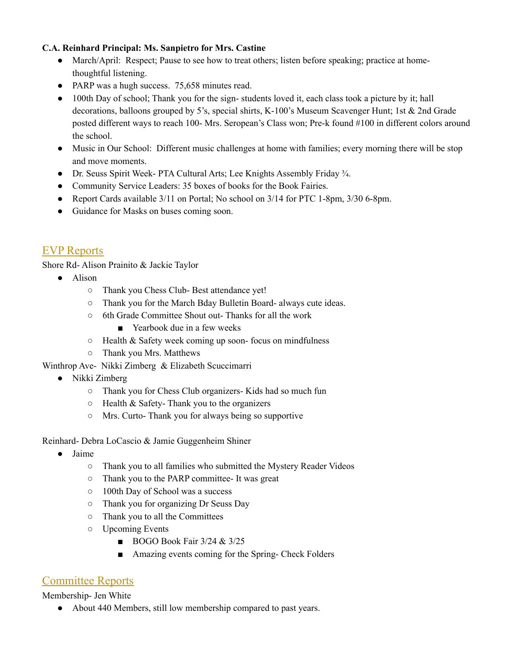#### **C.A. Reinhard Principal: Ms. Sanpietro for Mrs. Castine**

- March/April: Respect: Pause to see how to treat others; listen before speaking; practice at homethoughtful listening.
- PARP was a hugh success. 75,658 minutes read.
- 100th Day of school; Thank you for the sign-students loved it, each class took a picture by it; hall decorations, balloons grouped by 5's, special shirts, K-100's Museum Scavenger Hunt; 1st  $\&$  2nd Grade posted different ways to reach 100- Mrs. Seropean's Class won; Pre-k found #100 in different colors around the school.
- Music in Our School: Different music challenges at home with families; every morning there will be stop and move moments.
- Dr. Seuss Spirit Week- PTA Cultural Arts; Lee Knights Assembly Friday <sup>3/4</sup>.
- Community Service Leaders: 35 boxes of books for the Book Fairies.
- Report Cards available 3/11 on Portal; No school on 3/14 for PTC 1-8pm, 3/30 6-8pm.
- Guidance for Masks on buses coming soon.

# EVP Reports

Shore Rd- Alison Prainito & Jackie Taylor

- Alison
	- Thank you Chess Club- Best attendance yet!
	- Thank you for the March Bday Bulletin Board- always cute ideas.
	- 6th Grade Committee Shout out- Thanks for all the work
		- Yearbook due in a few weeks
	- Health & Safety week coming up soon- focus on mindfulness
	- Thank you Mrs. Matthews
- Winthrop Ave- Nikki Zimberg & Elizabeth Scuccimarri
	- Nikki Zimberg
		- Thank you for Chess Club organizers- Kids had so much fun
		- Health & Safety- Thank you to the organizers
		- Mrs. Curto- Thank you for always being so supportive
- Reinhard- Debra LoCascio & Jamie Guggenheim Shiner
	- Jaime
		- Thank you to all families who submitted the Mystery Reader Videos
		- Thank you to the PARP committee- It was great
		- 100th Day of School was a success
		- Thank you for organizing Dr Seuss Day
		- Thank you to all the Committees
		- Upcoming Events
			- BOGO Book Fair 3/24 & 3/25
			- Amazing events coming for the Spring- Check Folders

# Committee Reports

#### Membership- Jen White

● About 440 Members, still low membership compared to past years.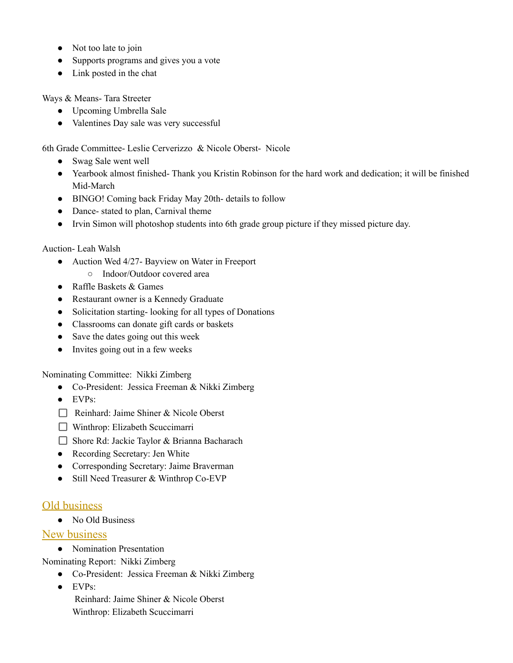- Not too late to join
- Supports programs and gives you a vote
- Link posted in the chat

Ways & Means- Tara Streeter

- Upcoming Umbrella Sale
- Valentines Day sale was very successful

6th Grade Committee- Leslie Cerverizzo & Nicole Oberst- Nicole

- Swag Sale went well
- Yearbook almost finished- Thank you Kristin Robinson for the hard work and dedication; it will be finished Mid-March
- BINGO! Coming back Friday May 20th- details to follow
- Dance- stated to plan, Carnival theme
- Irvin Simon will photoshop students into 6th grade group picture if they missed picture day.

Auction- Leah Walsh

- Auction Wed 4/27- Bayview on Water in Freeport
	- Indoor/Outdoor covered area
- Raffle Baskets  $&$  Games
- Restaurant owner is a Kennedy Graduate
- Solicitation starting-looking for all types of Donations
- Classrooms can donate gift cards or baskets
- Save the dates going out this week
- Invites going out in a few weeks

Nominating Committee: Nikki Zimberg

- Co-President: Jessica Freeman & Nikki Zimberg
- EVPs:
- Reinhard: Jaime Shiner & Nicole Oberst
- Winthrop: Elizabeth Scuccimarri
- □ Shore Rd: Jackie Taylor & Brianna Bacharach
- Recording Secretary: Jen White
- Corresponding Secretary: Jaime Braverman
- Still Need Treasurer & Winthrop Co-EVP

# Old business

● No Old Business

#### New business

● Nomination Presentation

Nominating Report: Nikki Zimberg

- Co-President: Jessica Freeman & Nikki Zimberg
- EVPs:

Reinhard: Jaime Shiner & Nicole Oberst Winthrop: Elizabeth Scuccimarri